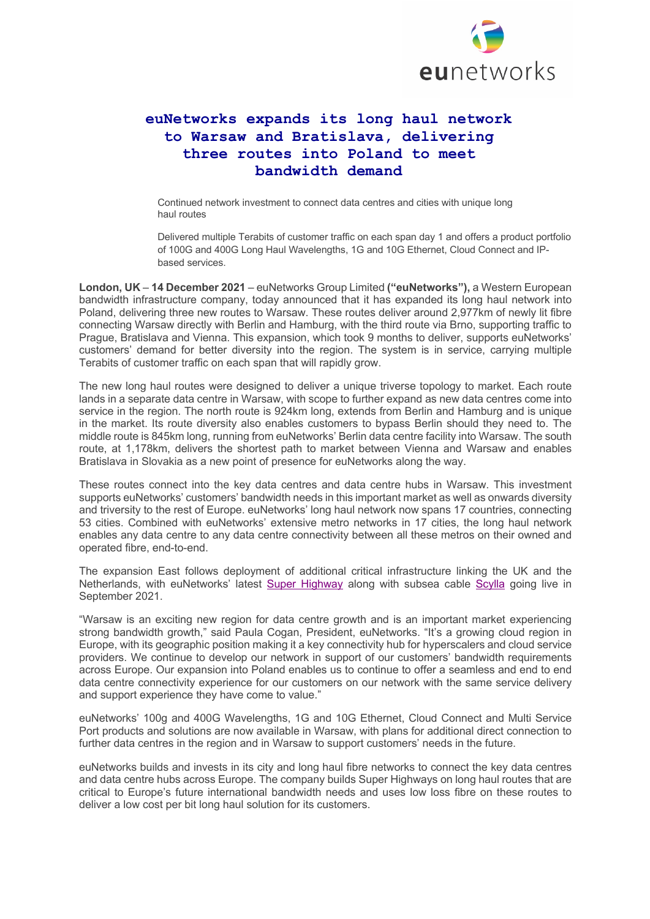

## **euNetworks expands its long haul network to Warsaw and Bratislava, delivering three routes into Poland to meet bandwidth demand**

Continued network investment to connect data centres and cities with unique long haul routes

Delivered multiple Terabits of customer traffic on each span day 1 and offers a product portfolio of 100G and 400G Long Haul Wavelengths, 1G and 10G Ethernet, Cloud Connect and IPbased services.

**London, UK** – **14 December 2021** – euNetworks Group Limited **("euNetworks"),** a Western European bandwidth infrastructure company, today announced that it has expanded its long haul network into Poland, delivering three new routes to Warsaw. These routes deliver around 2,977km of newly lit fibre connecting Warsaw directly with Berlin and Hamburg, with the third route via Brno, supporting traffic to Prague, Bratislava and Vienna. This expansion, which took 9 months to deliver, supports euNetworks' customers' demand for better diversity into the region. The system is in service, carrying multiple Terabits of customer traffic on each span that will rapidly grow.

The new long haul routes were designed to deliver a unique triverse topology to market. Each route lands in a separate data centre in Warsaw, with scope to further expand as new data centres come into service in the region. The north route is 924km long, extends from Berlin and Hamburg and is unique in the market. Its route diversity also enables customers to bypass Berlin should they need to. The middle route is 845km long, running from euNetworks' Berlin data centre facility into Warsaw. The south route, at 1,178km, delivers the shortest path to market between Vienna and Warsaw and enables Bratislava in Slovakia as a new point of presence for euNetworks along the way.

These routes connect into the key data centres and data centre hubs in Warsaw. This investment supports euNetworks' customers' bandwidth needs in this important market as well as onwards diversity and triversity to the rest of Europe. euNetworks' long haul network now spans 17 countries, connecting 53 cities. Combined with euNetworks' extensive metro networks in 17 cities, the long haul network enables any data centre to any data centre connectivity between all these metros on their owned and operated fibre, end-to-end.

The expansion East follows deployment of additional critical infrastructure linking the UK and the Netherlands, with euNetworks' latest Super Highway along with subsea cable Scylla going live in September 2021.

"Warsaw is an exciting new region for data centre growth and is an important market experiencing strong bandwidth growth," said Paula Cogan, President, euNetworks. "It's a growing cloud region in Europe, with its geographic position making it a key connectivity hub for hyperscalers and cloud service providers. We continue to develop our network in support of our customers' bandwidth requirements across Europe. Our expansion into Poland enables us to continue to offer a seamless and end to end data centre connectivity experience for our customers on our network with the same service delivery and support experience they have come to value."

euNetworks' 100g and 400G Wavelengths, 1G and 10G Ethernet, Cloud Connect and Multi Service Port products and solutions are now available in Warsaw, with plans for additional direct connection to further data centres in the region and in Warsaw to support customers' needs in the future.

euNetworks builds and invests in its city and long haul fibre networks to connect the key data centres and data centre hubs across Europe. The company builds Super Highways on long haul routes that are critical to Europe's future international bandwidth needs and uses low loss fibre on these routes to deliver a low cost per bit long haul solution for its customers.